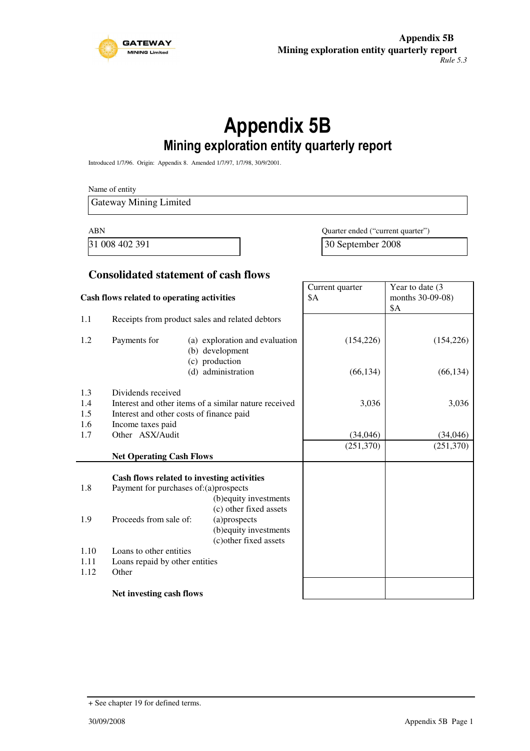

# Appendix 5B Mining exploration entity quarterly report

Introduced 1/7/96. Origin: Appendix 8. Amended 1/7/97, 1/7/98, 30/9/2001.

Name of entity Gateway Mining Limited

ABN Quarter ended ("current quarter") 31 008 402 391 30 September 2008

#### **Consolidated statement of cash flows**

| Cash flows related to operating activities |                                                                                     |                                                                  | Current quarter<br>\$A | Year to date (3<br>months 30-09-08) |
|--------------------------------------------|-------------------------------------------------------------------------------------|------------------------------------------------------------------|------------------------|-------------------------------------|
|                                            |                                                                                     |                                                                  |                        | <b>\$A</b>                          |
| 1.1                                        |                                                                                     | Receipts from product sales and related debtors                  |                        |                                     |
| 1.2                                        | Payments for<br>(a) exploration and evaluation<br>(b) development<br>(c) production |                                                                  | (154, 226)             | (154, 226)                          |
|                                            |                                                                                     | (d) administration                                               | (66, 134)              | (66, 134)                           |
| 1.3                                        | Dividends received                                                                  |                                                                  |                        |                                     |
| 1.4                                        |                                                                                     | Interest and other items of a similar nature received            | 3,036                  | 3,036                               |
| 1.5                                        | Interest and other costs of finance paid                                            |                                                                  |                        |                                     |
| 1.6                                        | Income taxes paid                                                                   |                                                                  |                        |                                     |
| 1.7                                        | Other ASX/Audit                                                                     |                                                                  | (34,046)               | (34,046)                            |
|                                            |                                                                                     |                                                                  | (251,370)              | (251,370)                           |
|                                            | <b>Net Operating Cash Flows</b>                                                     |                                                                  |                        |                                     |
|                                            |                                                                                     |                                                                  |                        |                                     |
|                                            |                                                                                     | Cash flows related to investing activities                       |                        |                                     |
| 1.8                                        | Payment for purchases of:(a)prospects                                               | (b) equity investments<br>(c) other fixed assets                 |                        |                                     |
| 1.9                                        | Proceeds from sale of:                                                              | (a)prospects<br>(b) equity investments<br>(c) other fixed assets |                        |                                     |
| 1.10                                       | Loans to other entities                                                             |                                                                  |                        |                                     |
| 1.11                                       | Loans repaid by other entities                                                      |                                                                  |                        |                                     |
| 1.12                                       | Other                                                                               |                                                                  |                        |                                     |
|                                            | Net investing cash flows                                                            |                                                                  |                        |                                     |

<sup>+</sup> See chapter 19 for defined terms.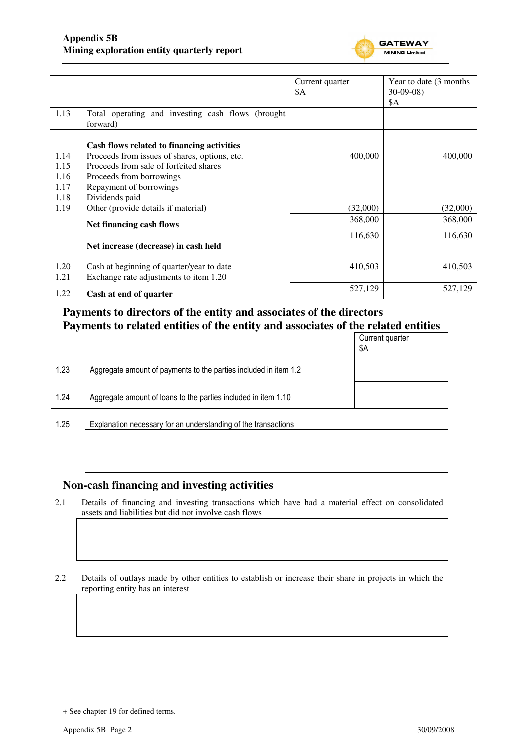

|              |                                                                                     | Current quarter | Year to date (3 months) |
|--------------|-------------------------------------------------------------------------------------|-----------------|-------------------------|
|              |                                                                                     | \$Α             | $30-09-08$<br>\$A       |
| 1.13         | Total operating and investing cash flows (brought<br>forward)                       |                 |                         |
|              | Cash flows related to financing activities                                          |                 |                         |
| 1.14         | Proceeds from issues of shares, options, etc.                                       | 400,000         | 400,000                 |
| 1.15         | Proceeds from sale of forfeited shares                                              |                 |                         |
| 1.16         | Proceeds from borrowings                                                            |                 |                         |
| 1.17         | Repayment of borrowings                                                             |                 |                         |
| 1.18         | Dividends paid                                                                      |                 |                         |
| 1.19         | Other (provide details if material)                                                 | (32,000)        | (32,000)                |
|              | Net financing cash flows                                                            | 368,000         | 368,000                 |
|              |                                                                                     | 116,630         | 116,630                 |
|              | Net increase (decrease) in cash held                                                |                 |                         |
| 1.20<br>1.21 | Cash at beginning of quarter/year to date<br>Exchange rate adjustments to item 1.20 | 410,503         | 410,503                 |
| 1.22         | Cash at end of quarter                                                              | 527,129         | 527,129                 |

# **Payments to directors of the entity and associates of the directors Payments to related entities of the entity and associates of the related entities**

|      |                                                                  | Current quarter<br>\$Α |
|------|------------------------------------------------------------------|------------------------|
| 1.23 | Aggregate amount of payments to the parties included in item 1.2 |                        |
| 1.24 | Aggregate amount of loans to the parties included in item 1.10   |                        |
| 1 25 | Evolanation necessary for an understanding of the transactions   |                        |

1.25 Explanation necessary for an understanding of the transactions

### **Non-cash financing and investing activities**

2.1 Details of financing and investing transactions which have had a material effect on consolidated assets and liabilities but did not involve cash flows

2.2 Details of outlays made by other entities to establish or increase their share in projects in which the reporting entity has an interest

<sup>+</sup> See chapter 19 for defined terms.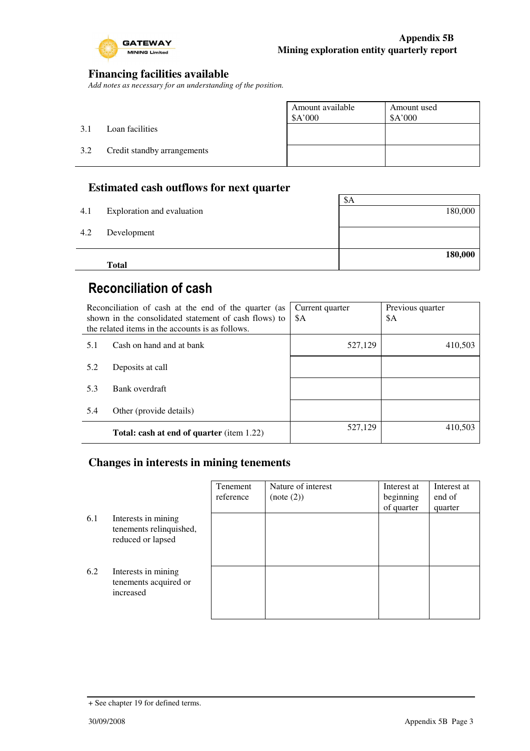

### **Financing facilities available**

*Add notes as necessary for an understanding of the position.* 

|     |                             | Amount available<br>\$A'000 | Amount used<br>\$A'000 |
|-----|-----------------------------|-----------------------------|------------------------|
| 3.1 | Loan facilities             |                             |                        |
| 3.2 | Credit standby arrangements |                             |                        |
|     |                             |                             |                        |

### **Estimated cash outflows for next quarter**

|     | <b>Total</b>               |         |
|-----|----------------------------|---------|
|     |                            | 180,000 |
| 4.2 | Development                |         |
|     | Exploration and evaluation |         |
| 4.1 |                            | 180,000 |
|     |                            | \$A     |

# Reconciliation of cash

|     | Reconciliation of cash at the end of the quarter (as<br>shown in the consolidated statement of cash flows) to<br>the related items in the accounts is as follows. | Current quarter<br>\$A | Previous quarter<br>\$A |
|-----|-------------------------------------------------------------------------------------------------------------------------------------------------------------------|------------------------|-------------------------|
| 5.1 | Cash on hand and at bank                                                                                                                                          | 527,129                | 410,503                 |
| 5.2 | Deposits at call                                                                                                                                                  |                        |                         |
| 5.3 | Bank overdraft                                                                                                                                                    |                        |                         |
| 5.4 | Other (provide details)                                                                                                                                           |                        |                         |
|     | <b>Total: cash at end of quarter</b> (item 1.22)                                                                                                                  | 527,129                | 410,503                 |

### **Changes in interests in mining tenements**

|     |                                                                     | Tenement<br>reference | Nature of interest<br>(note (2)) | Interest at<br>beginning<br>of quarter | Interest at<br>end of<br>quarter |
|-----|---------------------------------------------------------------------|-----------------------|----------------------------------|----------------------------------------|----------------------------------|
| 6.1 | Interests in mining<br>tenements relinquished,<br>reduced or lapsed |                       |                                  |                                        |                                  |
| 6.2 | Interests in mining<br>tenements acquired or<br>increased           |                       |                                  |                                        |                                  |

<sup>+</sup> See chapter 19 for defined terms.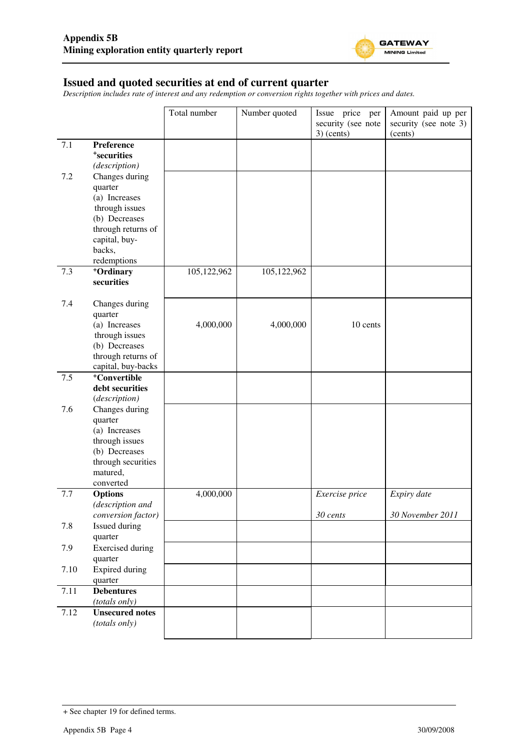

#### **Issued and quoted securities at end of current quarter**

*Description includes rate of interest and any redemption or conversion rights together with prices and dates.* 

|      |                                          | Total number | Number quoted | Issue price per                    | Amount paid up per               |
|------|------------------------------------------|--------------|---------------|------------------------------------|----------------------------------|
|      |                                          |              |               | security (see note<br>$3)$ (cents) | security (see note 3)<br>(cents) |
| 7.1  | Preference                               |              |               |                                    |                                  |
|      | <sup>+</sup> securities                  |              |               |                                    |                                  |
|      | (description)                            |              |               |                                    |                                  |
| 7.2  | Changes during                           |              |               |                                    |                                  |
|      | quarter                                  |              |               |                                    |                                  |
|      | (a) Increases                            |              |               |                                    |                                  |
|      | through issues                           |              |               |                                    |                                  |
|      | (b) Decreases                            |              |               |                                    |                                  |
|      | through returns of<br>capital, buy-      |              |               |                                    |                                  |
|      | backs,                                   |              |               |                                    |                                  |
|      | redemptions                              |              |               |                                    |                                  |
| 7.3  | <sup>+</sup> Ordinary                    | 105,122,962  | 105,122,962   |                                    |                                  |
|      | securities                               |              |               |                                    |                                  |
| 7.4  | Changes during                           |              |               |                                    |                                  |
|      | quarter                                  |              |               |                                    |                                  |
|      | (a) Increases                            | 4,000,000    | 4,000,000     | 10 cents                           |                                  |
|      | through issues                           |              |               |                                    |                                  |
|      | (b) Decreases                            |              |               |                                    |                                  |
|      | through returns of<br>capital, buy-backs |              |               |                                    |                                  |
| 7.5  | <sup>+</sup> Convertible                 |              |               |                                    |                                  |
|      | debt securities                          |              |               |                                    |                                  |
|      | (description)                            |              |               |                                    |                                  |
| 7.6  | Changes during                           |              |               |                                    |                                  |
|      | quarter                                  |              |               |                                    |                                  |
|      | (a) Increases                            |              |               |                                    |                                  |
|      | through issues                           |              |               |                                    |                                  |
|      | (b) Decreases                            |              |               |                                    |                                  |
|      | through securities<br>matured,           |              |               |                                    |                                  |
|      | converted                                |              |               |                                    |                                  |
| 7.7  | <b>Options</b>                           | 4,000,000    |               | Exercise price                     | Expiry date                      |
|      | (description and                         |              |               |                                    |                                  |
|      | conversion factor)                       |              |               | 30 cents                           | 30 November 2011                 |
| 7.8  | Issued during<br>quarter                 |              |               |                                    |                                  |
| 7.9  | <b>Exercised</b> during                  |              |               |                                    |                                  |
|      | quarter                                  |              |               |                                    |                                  |
| 7.10 | <b>Expired during</b>                    |              |               |                                    |                                  |
|      | quarter                                  |              |               |                                    |                                  |
| 7.11 | <b>Debentures</b>                        |              |               |                                    |                                  |
|      | (totals only)                            |              |               |                                    |                                  |
| 7.12 | <b>Unsecured notes</b>                   |              |               |                                    |                                  |
|      | (totals only)                            |              |               |                                    |                                  |

<sup>+</sup> See chapter 19 for defined terms.